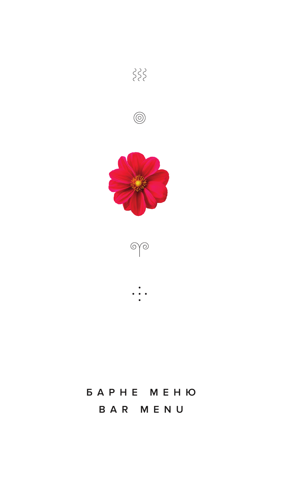

# *BAPHE MEHIO* BAR MENU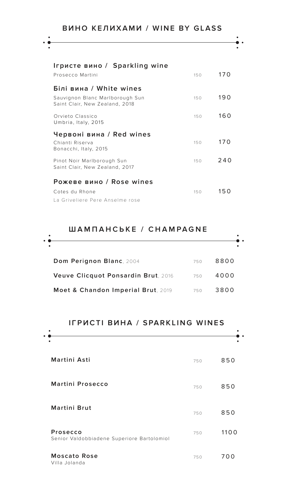$\ddot{\phantom{0}}$ 

| Ігристе вино / Sparkling wine<br>Prosecco Martini                                            | 150 | 170 |
|----------------------------------------------------------------------------------------------|-----|-----|
| Білі вина / White wines<br>Sauvignon Blanc Marlborough Sun<br>Saint Clair, New Zealand, 2018 | 150 | 190 |
| Orvieto Classico<br>Umbria, Italy, 2015                                                      | 150 | 160 |
| Червоні вина / Red wines                                                                     |     |     |
| Chianti Riserva<br>Bonacchi, Italy, 2015                                                     | 150 | 170 |
| Pinot Noir Marlborough Sun<br>Saint Clair, New Zealand, 2017                                 | 150 | 240 |
|                                                                                              |     |     |
| Рожеве вино / Rose wines                                                                     |     |     |
| Cotes du Rhone                                                                               | 150 | 150 |
| La Griveliere Pere Anselme rose                                                              |     |     |

### **ШАМПАНСЬКЕ / CHAMPAGNE**

| ٠ |                                     |     |      |
|---|-------------------------------------|-----|------|
|   | Dom Perignon Blanc, 2004            | 750 | 8800 |
|   | Veuve Clicquot Ponsardin Brut, 2016 | 750 | 4000 |
|   | Moet & Chandon Imperial Brut, 2019  | 750 | 3800 |

### **ІГРИСТІ ВИНА / SPARKLING WINES**

| Martini Asti                                           | 750 | 850  |
|--------------------------------------------------------|-----|------|
| <b>Martini Prosecco</b>                                | 750 | 850  |
| <b>Martini Brut</b>                                    | 750 | 850  |
| Prosecco<br>Senior Valdobbiadene Superiore Bartolomiol | 750 | 1100 |
| <b>Moscato Rose</b><br>Villa Jolanda                   | 750 | 700  |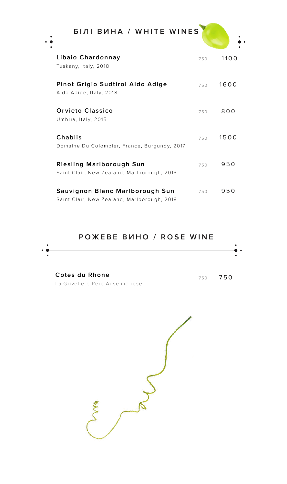| Libaio Chardonnay<br>Tuskany, Italy, 2018                                      | 750 | 1100 |
|--------------------------------------------------------------------------------|-----|------|
| Pinot Grigio Sudtirol Aldo Adige<br>Aido Adige, Italy, 2018                    | 750 | 1600 |
| <b>Orvieto Classico</b><br>Umbria, Italy, 2015                                 | 750 | 800  |
| Chablis<br>Domaine Du Colombier, France, Burgundy, 2017                        | 750 | 1500 |
| Riesling Marlborough Sun<br>Saint Clair, New Zealand, Marlborough, 2018        | 750 | 950  |
| Sauvignon Blanc Marlborough Sun<br>Saint Clair, New Zealand, Marlborough, 2018 | 750 | 950  |

### **РОЖЕВЕ ВИНО / ROSE WINE**

| $\bullet$ $\bullet$ | . . |
|---------------------|-----|
|                     |     |
|                     |     |
|                     |     |

**Cotes du Rhone**  La Griveliere Pere Anselme rose

<sup>750</sup> 750

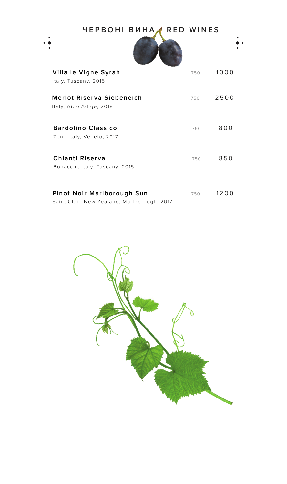| ЧЕРВОНІ ВИНА,                                                             | RED WINES |      |
|---------------------------------------------------------------------------|-----------|------|
|                                                                           |           |      |
| Villa le Vigne Syrah<br>Italy, Tuscany, 2015                              | 750       | 1000 |
| <b>Merlot Riserva Siebeneich</b><br>Italy, Aido Adige, 2018               | 750       | 2500 |
| <b>Bardolino Classico</b><br>Zeni, Italy, Veneto, 2017                    | 750       | 800  |
| Chianti Riserva<br>Bonacchi, Italy, Tuscany, 2015                         | 750       | 850  |
| Pinot Noir Marlborough Sun<br>Saint Clair, New Zealand, Marlborough, 2017 | 750       | 1200 |

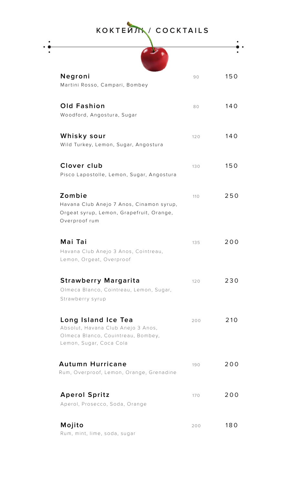| KOKTENTY COCKTAILS                                                                                                         |     |     |
|----------------------------------------------------------------------------------------------------------------------------|-----|-----|
|                                                                                                                            |     |     |
| Negroni<br>Martini Rosso, Campari, Bombey                                                                                  | 90  | 150 |
| Old Fashion<br>Woodford, Angostura, Sugar                                                                                  | 80  | 140 |
| Whisky sour<br>Wild Turkey, Lemon, Sugar, Angostura                                                                        | 120 | 140 |
| Clover club<br>Pisco Lapostolle, Lemon, Sugar, Angostura                                                                   | 130 | 150 |
| Zombie<br>Havana Club Anejo 7 Anos, Cinamon syrup,<br>Orgeat syrup, Lemon, Grapefruit, Orange,<br>Overproof rum            | 110 | 250 |
| Mai Tai<br>Havana Club Anejo 3 Anos, Cointreau,<br>Lemon, Orgeat, Overproof                                                | 135 | 200 |
| <b>Strawberry Margarita</b><br>Olmeca Blanco, Cointreau, Lemon, Sugar,<br>Strawberry syrup                                 | 120 | 230 |
| Long Island Ice Tea<br>Absolut, Havana Club Anejo 3 Anos,<br>Olmeca Blanco, Couintreau, Bombey,<br>Lemon, Sugar, Coca Cola | 200 | 210 |
| Autumn Hurricane<br>Rum, Overproof, Lemon, Orange, Grenadine                                                               | 190 | 200 |
| <b>Aperol Spritz</b><br>Aperol, Prosecco, Soda, Orange                                                                     | 170 | 200 |
| Mojito<br>Rum, mint, lime, soda, sugar                                                                                     | 200 | 180 |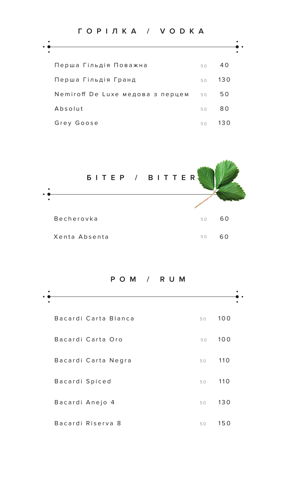| ГОРІЛКА / УОДКА                  |    |     |
|----------------------------------|----|-----|
|                                  |    |     |
| Перша Гільдія Поважна            | 50 | 40  |
| Перша Гільдія Гранд              | 50 | 130 |
| Nemiroff De Luxe медова з перцем | 50 | 50  |
| Absolut                          | 50 | 80  |
| Grey Goose                       | 50 | 130 |



**РОМ / RUM**

| Bacardi Carta Blanca | 50 | 100 |
|----------------------|----|-----|
| Bacardi Carta Oro    | 50 | 100 |
| Bacardi Carta Negra  | 50 | 110 |
| Bacardi Spiced       | 50 | 110 |
| Bacardi Anejo 4      | 50 | 130 |
| Bacardi Riserva 8    | 50 | 150 |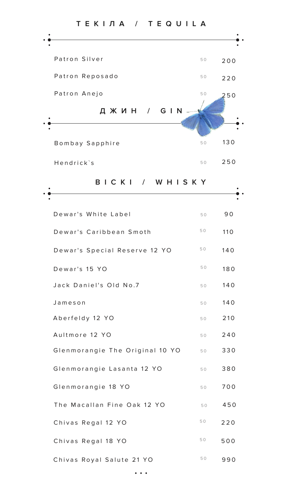

| Dewar's White Label             | 50 | 90  |
|---------------------------------|----|-----|
| Dewar's Caribbean Smoth         | 50 | 110 |
| Dewar's Special Reserve 12 YO   | 50 | 140 |
| Dewar's 15 YO                   | 50 | 180 |
| Jack Daniel's Old No.7          | 50 | 140 |
| Jameson                         | 50 | 140 |
| Aberfeldy 12 YO                 | 50 | 210 |
| Aultmore 12 YO                  | 50 | 240 |
| Glenmorangie The Original 10 YO | 50 | 330 |
| Glenmorangie Lasanta 12 YO      | 50 | 380 |
| Glenmorangie 18 YO              | 50 | 700 |
| The Macallan Fine Oak 12 YO     | 50 | 450 |
| Chivas Regal 12 YO              | 50 | 220 |
| Chivas Regal 18 YO              | 50 | 500 |
| Chivas Royal Salute 21 YO       | 50 | 990 |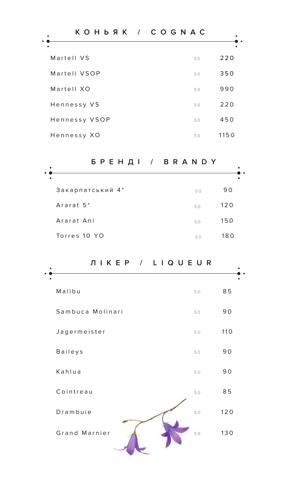| KOH b Я К / C O G N A C |            |
|-------------------------|------------|
|                         |            |
| Martell VS              | 220<br>50  |
| Martell VSOP            | 350<br>50  |
| Martell XO              | 990<br>50  |
| Hennessy VS             | 220<br>50  |
| Hennessy VSOP           | 450<br>50  |
| Hennessy XO             | 1150<br>50 |

# **БРЕНДІ / BRANDY**

| ٠                     | БРЕНДІ / BRANDY |     |
|-----------------------|-----------------|-----|
| ٠                     |                 |     |
| Закарпатський 4*      | 50              | 90  |
| Ararat 5 <sup>*</sup> | 50              | 120 |
| Ararat Ani            | 50              | 150 |
| Torres 10 YO          | 50              | 180 |

| Malibu           | 50 | 85  |
|------------------|----|-----|
| Sambuca Molinari | 50 | 90  |
| Jagermeister     | 50 | 110 |
| Baileys          | 50 | 90  |
| Kahlua           | 50 | 90  |
| Cointreau        | 50 | 85  |
| Drambuie         | 50 | 120 |
| Grand Marnier    | 50 | 130 |

**ЛІКЕР / LIQUEUR**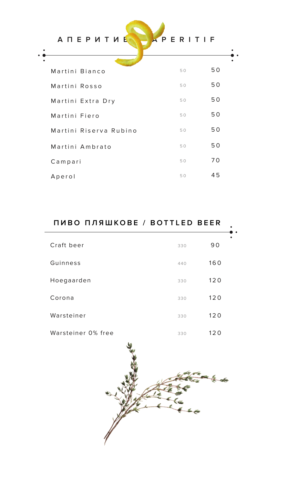| A N E P И Т И E        | APERITIF |    |
|------------------------|----------|----|
| Martini Bianco         | 50       | 50 |
| Martini Rosso          | 50       | 50 |
| Martini Extra Dry      | 50       | 50 |
| Martini Fiero          | 50       | 50 |
| Martini Riserva Rubino | 50       | 50 |
| Martini Ambrato        | 50       | 50 |
| Campari                | 50       | 70 |
| Aperol                 | 50       | 45 |

| ПИВО ПЛЯШКОВЕ / BOTTLED BEER |            |  |
|------------------------------|------------|--|
| Craft beer                   | 90<br>330  |  |
| Guinness                     | 160<br>440 |  |
| Hoegaarden                   | 120<br>330 |  |
| Corona                       | 120<br>330 |  |
| Warsteiner                   | 120<br>330 |  |
| Warsteiner 0% free           | 120<br>330 |  |

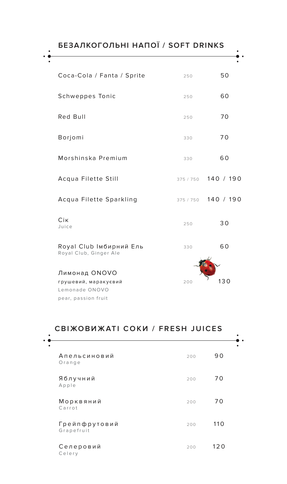**БЕЗАЛКОГОЛЬНІ НАПОЇ / SOFT DRINKS** Coca-Cola / Fanta / Sprite 250 250 Schweppes Tonic 250 250 60 Red Bull 250 250 20 Сік  $Juice$  250 30 Borjomi 330 70 Royal Club Імбирний Ель Royal Club, Ginger Ale 330 60 Morshinska Premium 330 60 Acqua Filette Still 375 / 750 140 / 190 Acqua Filette Sparkling 375 / 750 140 / 190 Лимонад ONOVO грушевий, маракуєвий Lemonade ONOVO 200  $'$  130

#### pear, passion fruit

 $\bullet$ 

### **СВІЖОВИЖАТІ СОКИ / FRESH JUICES**

| Апельсиновий<br>Orange      | 200 | 90  |
|-----------------------------|-----|-----|
| Яблучний<br>Apple           | 200 | 70  |
| Морквяний<br>Carrot         | 200 | 70  |
| Грейпфрутовий<br>Grapefruit | 200 | 110 |
| Селеровий<br>Celery         | 200 | 120 |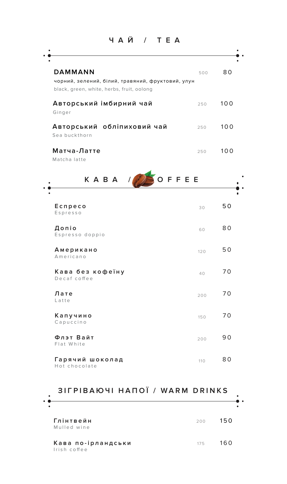**ЧАЙ / TEA**

| <b>DAMMANN</b><br>чорний, зелений, білий, травяний, фруктовий, улун<br>black, green, white, herbs, fruit, oolong | 500 | 80  |
|------------------------------------------------------------------------------------------------------------------|-----|-----|
| Авторський імбирний чай<br>Ginger                                                                                | 250 | 100 |
| Авторський обліпиховий чай<br>Sea buckthorn                                                                      | 250 | 100 |
| Матча-Латте<br>Matcha latte                                                                                      | 250 | 100 |
| OFFEE<br>KABA $\sqrt{N}$                                                                                         |     |     |
| Ecnpeco<br>Espresso                                                                                              | 30  | 50  |
| Допіо<br>Espresso doppio                                                                                         | 60  | 80  |
| Американо<br>Americano                                                                                           | 120 | 50  |
| Кава без кофеїну<br>Decaf coffee                                                                                 | 40  | 70  |
| Лате<br>Latte                                                                                                    | 200 | 70  |
| Капучино<br>Capuccino                                                                                            | 150 | 70  |
| Флэт Вайт<br>Flat White                                                                                          | 200 | 90  |
| Гарячий шоколад                                                                                                  | 110 | 80  |

| ٠ | SII FIDANJI NAIIVI / WARIW DRIINS  |     |     |
|---|------------------------------------|-----|-----|
|   | Глінтвейн<br>Mulled wine           | 200 | 150 |
|   | Кава по-ірландськи<br>Irish coffee | 175 | 160 |